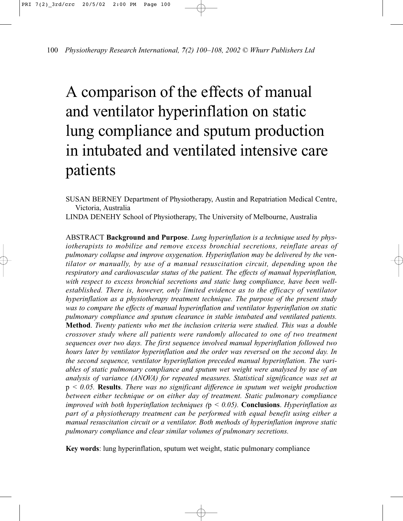# A comparison of the effects of manual and ventilator hyperinflation on static lung compliance and sputum production in intubated and ventilated intensive care patients

SUSAN BERNEY Department of Physiotherapy, Austin and Repatriation Medical Centre, Victoria, Australia

LINDA DENEHY School of Physiotherapy, The University of Melbourne, Australia

ABSTRACT **Background and Purpose**. *Lung hyperinflation is a technique used by physiotherapists to mobilize and remove excess bronchial secretions, reinflate areas of pulmonary collapse and improve oxygenation. Hyperinflation may be delivered by the ventilator or manually, by use of a manual resuscitation circuit, depending upon the respiratory and cardiovascular status of the patient. The effects of manual hyperinflation, with respect to excess bronchial secretions and static lung compliance, have been wellestablished. There is, however, only limited evidence as to the efficacy of ventilator hyperinflation as a physiotherapy treatment technique. The purpose of the present study was to compare the effects of manual hyperinflation and ventilator hyperinflation on static pulmonary compliance and sputum clearance in stable intubated and ventilated patients.* **Method**. *Twenty patients who met the inclusion criteria were studied. This was a double crossover study where all patients were randomly allocated to one of two treatment sequences over two days. The first sequence involved manual hyperinflation followed two hours later by ventilator hyperinflation and the order was reversed on the second day. In the second sequence, ventilator hyperinflation preceded manual hyperinflation. The variables of static pulmonary compliance and sputum wet weight were analysed by use of an analysis of variance (ANOVA) for repeated measures. Statistical significance was set at* p *< 0.05.* **Results**. *There was no significant difference in sputum wet weight production between either technique or on either day of treatment. Static pulmonary compliance improved with both hyperinflation techniques (*p *< 0.05).* **Conclusions**. *Hyperinflation as part of a physiotherapy treatment can be performed with equal benefit using either a manual resuscitation circuit or a ventilator. Both methods of hyperinflation improve static pulmonary compliance and clear similar volumes of pulmonary secretions.*

**Key words**: lung hyperinflation, sputum wet weight, static pulmonary compliance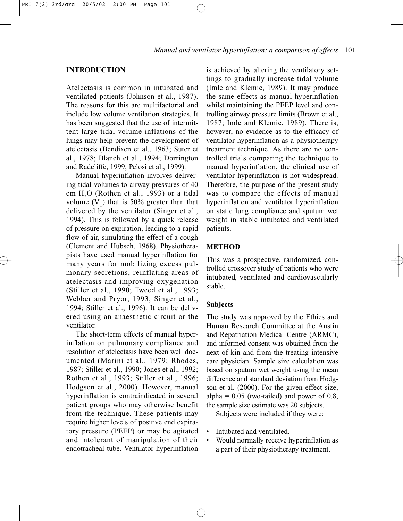#### **INTRODUCTION**

Atelectasis is common in intubated and ventilated patients (Johnson et al., 1987). The reasons for this are multifactorial and include low volume ventilation strategies. It has been suggested that the use of intermittent large tidal volume inflations of the lungs may help prevent the development of atelectasis (Bendixen et al., 1963; Suter et al., 1978; Blanch et al., 1994; Dorrington and Radcliffe, 1999; Pelosi et al., 1999).

Manual hyperinflation involves delivering tidal volumes to airway pressures of 40 cm  $H_2O$  (Rothen et al., 1993) or a tidal volume  $(V<sub>\tau</sub>)$  that is 50% greater than that delivered by the ventilator (Singer et al., 1994). This is followed by a quick release of pressure on expiration, leading to a rapid flow of air, simulating the effect of a cough (Clement and Hubsch, 1968). Physiotherapists have used manual hyperinflation for many years for mobilizing excess pulmonary secretions, reinflating areas of atelectasis and improving oxygenation (Stiller et al., 1990; Tweed et al., 1993; Webber and Pryor, 1993; Singer et al., 1994; Stiller et al., 1996). It can be delivered using an anaesthetic circuit or the ventilator.

The short-term effects of manual hyperinflation on pulmonary compliance and resolution of atelectasis have been well documented (Marini et al., 1979; Rhodes, 1987; Stiller et al., 1990; Jones et al., 1992; Rothen et al., 1993; Stiller et al., 1996; Hodgson et al., 2000). However, manual hyperinflation is contraindicated in several patient groups who may otherwise benefit from the technique. These patients may require higher levels of positive end expiratory pressure (PEEP) or may be agitated and intolerant of manipulation of their endotracheal tube. Ventilator hyperinflation

is achieved by altering the ventilatory settings to gradually increase tidal volume (Imle and Klemic, 1989). It may produce the same effects as manual hyperinflation whilst maintaining the PEEP level and controlling airway pressure limits (Brown et al., 1987; Imle and Klemic, 1989). There is, however, no evidence as to the efficacy of ventilator hyperinflation as a physiotherapy treatment technique. As there are no controlled trials comparing the technique to manual hyperinflation, the clinical use of ventilator hyperinflation is not widespread. Therefore, the purpose of the present study was to compare the effects of manual hyperinflation and ventilator hyperinflation on static lung compliance and sputum wet weight in stable intubated and ventilated patients.

#### **METHOD**

This was a prospective, randomized, controlled crossover study of patients who were intubated, ventilated and cardiovascularly stable.

#### **Subjects**

The study was approved by the Ethics and Human Research Committee at the Austin and Repatriation Medical Centre (ARMC), and informed consent was obtained from the next of kin and from the treating intensive care physician. Sample size calculation was based on sputum wet weight using the mean difference and standard deviation from Hodgson et al. (2000). For the given effect size, alpha =  $0.05$  (two-tailed) and power of 0.8, the sample size estimate was 20 subjects.

Subjects were included if they were:

- Intubated and ventilated.
- Would normally receive hyperinflation as a part of their physiotherapy treatment.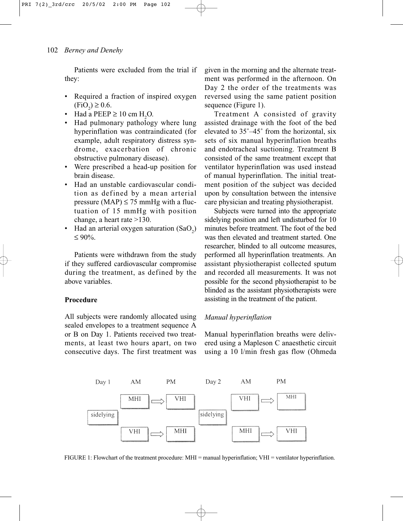Patients were excluded from the trial if they:

- Required a fraction of inspired oxygen  $(FiO_2) \ge 0.6$ .
- Had a PEEP  $\geq 10$  cm H<sub>2</sub>O.
- Had pulmonary pathology where lung hyperinflation was contraindicated (for example, adult respiratory distress syndrome, exacerbation of chronic obstructive pulmonary disease).
- Were prescribed a head-up position for brain disease.
- Had an unstable cardiovascular condition as defined by a mean arterial pressure (MAP)  $\leq$  75 mmHg with a fluctuation of 15 mmHg with position change, a heart rate >130.
- Had an arterial oxygen saturation  $(SaO<sub>2</sub>)$  $≤ 90\%$ .

Patients were withdrawn from the study if they suffered cardiovascular compromise during the treatment, as defined by the above variables.

# **Procedure**

All subjects were randomly allocated using sealed envelopes to a treatment sequence A or B on Day 1. Patients received two treatments, at least two hours apart, on two consecutive days. The first treatment was given in the morning and the alternate treatment was performed in the afternoon. On Day 2 the order of the treatments was reversed using the same patient position sequence (Figure 1).

Treatment A consisted of gravity assisted drainage with the foot of the bed elevated to 35˚–45˚ from the horizontal, six sets of six manual hyperinflation breaths and endotracheal suctioning. Treatment B consisted of the same treatment except that ventilator hyperinflation was used instead of manual hyperinflation. The initial treatment position of the subject was decided upon by consultation between the intensive care physician and treating physiotherapist.

Subjects were turned into the appropriate sidelying position and left undisturbed for 10 minutes before treatment. The foot of the bed was then elevated and treatment started. One researcher, blinded to all outcome measures, performed all hyperinflation treatments. An assistant physiotherapist collected sputum and recorded all measurements. It was not possible for the second physiotherapist to be blinded as the assistant physiotherapists were assisting in the treatment of the patient.

# *Manual hyperinflation*

Manual hyperinflation breaths were delivered using a Mapleson C anaesthetic circuit using a 10 l/min fresh gas flow (Ohmeda



FIGURE 1: Flowchart of the treatment procedure: MHI = manual hyperinflation; VHI = ventilator hyperinflation.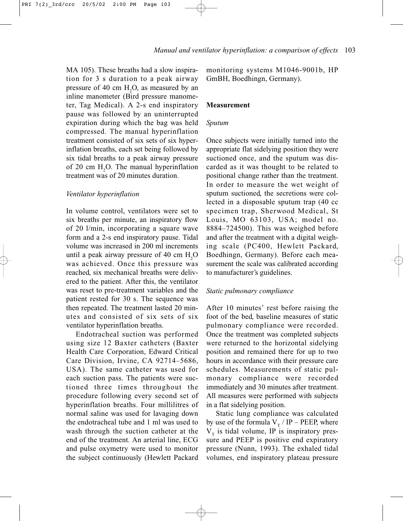MA 105). These breaths had a slow inspiration for 3 s duration to a peak airway pressure of 40 cm  $H_2O$ , as measured by an inline manometer (Bird pressure manometer, Tag Medical). A 2-s end inspiratory pause was followed by an uninterrupted expiration during which the bag was held compressed. The manual hyperinflation treatment consisted of six sets of six hyperinflation breaths, each set being followed by six tidal breaths to a peak airway pressure of 20 cm  $H_2O$ . The manual hyperinflation treatment was of 20 minutes duration.

#### *Ventilator hyperinflation*

In volume control, ventilators were set to six breaths per minute, an inspiratory flow of 20 l/min, incorporating a square wave form and a 2-s end inspiratory pause. Tidal volume was increased in 200 ml increments until a peak airway pressure of 40 cm  $H_2O$ was achieved. Once this pressure was reached, six mechanical breaths were delivered to the patient. After this, the ventilator was reset to pre-treatment variables and the patient rested for 30 s. The sequence was then repeated. The treatment lasted 20 minutes and consisted of six sets of six ventilator hyperinflation breaths.

Endotracheal suction was performed using size 12 Baxter catheters (Baxter Health Care Corporation, Edward Critical Care Division, Irvine, CA 92714–5686, USA). The same catheter was used for each suction pass. The patients were suctioned three times throughout the procedure following every second set of hyperinflation breaths. Four millilitres of normal saline was used for lavaging down the endotracheal tube and 1 ml was used to wash through the suction catheter at the end of the treatment. An arterial line, ECG and pulse oxymetry were used to monitor the subject continuously (Hewlett Packard

monitoring systems M1046-9001b, HP GmBH, Boedhingn, Germany).

## **Measurement**

### *Sputum*

Once subjects were initially turned into the appropriate flat sidelying position they were suctioned once, and the sputum was discarded as it was thought to be related to positional change rather than the treatment. In order to measure the wet weight of sputum suctioned, the secretions were collected in a disposable sputum trap (40 cc specimen trap, Sherwood Medical, St Louis, MO 63103, USA; model no. 8884–724500). This was weighed before and after the treatment with a digital weighing scale (PC400, Hewlett Packard, Boedhingn, Germany). Before each measurement the scale was calibrated according to manufacturer's guidelines.

## *Static pulmonary compliance*

After 10 minutes' rest before raising the foot of the bed, baseline measures of static pulmonary compliance were recorded. Once the treatment was completed subjects were returned to the horizontal sidelying position and remained there for up to two hours in accordance with their pressure care schedules. Measurements of static pulmonary compliance were recorded immediately and 30 minutes after treatment. All measures were performed with subjects in a flat sidelying position.

Static lung compliance was calculated by use of the formula  $V_T / IP$  – PEEP, where  $V<sub>\tau</sub>$  is tidal volume, IP is inspiratory pressure and PEEP is positive end expiratory pressure (Nunn, 1993). The exhaled tidal volumes, end inspiratory plateau pressure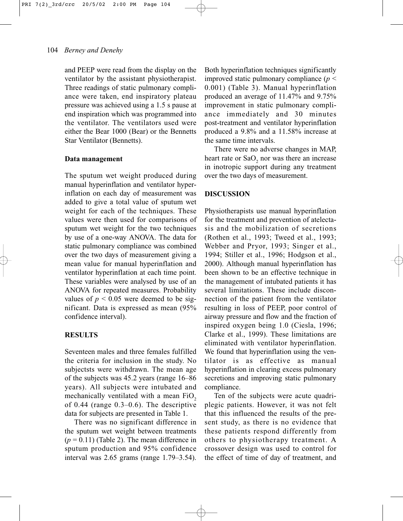and PEEP were read from the display on the ventilator by the assistant physiotherapist. Three readings of static pulmonary compliance were taken, end inspiratory plateau pressure was achieved using a 1.5 s pause at end inspiration which was programmed into the ventilator. The ventilators used were either the Bear 1000 (Bear) or the Bennetts Star Ventilator (Bennetts).

## **Data management**

The sputum wet weight produced during manual hyperinflation and ventilator hyperinflation on each day of measurement was added to give a total value of sputum wet weight for each of the techniques. These values were then used for comparisons of sputum wet weight for the two techniques by use of a one-way ANOVA. The data for static pulmonary compliance was combined over the two days of measurement giving a mean value for manual hyperinflation and ventilator hyperinflation at each time point. These variables were analysed by use of an ANOVA for repeated measures. Probability values of  $p < 0.05$  were deemed to be significant. Data is expressed as mean (95% confidence interval).

# **RESULTS**

Seventeen males and three females fulfilled the criteria for inclusion in the study. No subjectsts were withdrawn. The mean age of the subjects was 45.2 years (range 16–86 years). All subjects were intubated and mechanically ventilated with a mean  $FiO<sub>2</sub>$ of 0.44 (range 0.3–0.6). The descriptive data for subjects are presented in Table 1.

There was no significant difference in the sputum wet weight between treatments  $(p = 0.11)$  (Table 2). The mean difference in sputum production and 95% confidence interval was 2.65 grams (range 1.79–3.54). Both hyperinflation techniques significantly improved static pulmonary compliance (*p* < 0.001) (Table 3). Manual hyperinflation produced an average of 11.47% and 9.75% improvement in static pulmonary compliance immediately and 30 minutes post-treatment and ventilator hyperinflation produced a 9.8% and a 11.58% increase at the same time intervals.

There were no adverse changes in MAP, heart rate or SaO<sub>2</sub> nor was there an increase in inotropic support during any treatment over the two days of measurement.

# **DISCUSSION**

Physiotherapists use manual hyperinflation for the treatment and prevention of atelectasis and the mobilization of secretions (Rothen et al., 1993; Tweed et al., 1993; Webber and Pryor, 1993; Singer et al., 1994; Stiller et al., 1996; Hodgson et al., 2000). Although manual hyperinflation has been shown to be an effective technique in the management of intubated patients it has several limitations. These include disconnection of the patient from the ventilator resulting in loss of PEEP, poor control of airway pressure and flow and the fraction of inspired oxygen being 1.0 (Ciesla, 1996; Clarke et al., 1999). These limitations are eliminated with ventilator hyperinflation. We found that hyperinflation using the ventilator is as effective as manual hyperinflation in clearing excess pulmonary secretions and improving static pulmonary compliance.

Ten of the subjects were acute quadriplegic patients. However, it was not felt that this influenced the results of the present study, as there is no evidence that these patients respond differently from others to physiotherapy treatment. A crossover design was used to control for the effect of time of day of treatment, and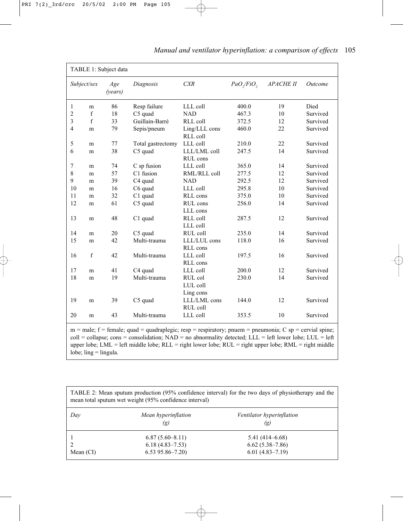| TABLE 1: Subject data |              |                |                     |                           |          |                  |          |  |
|-----------------------|--------------|----------------|---------------------|---------------------------|----------|------------------|----------|--|
| Subject/sex           |              | Age<br>(years) | Diagnosis           | CXR                       | PaO/FiO, | <b>APACHE II</b> | Outcome  |  |
| 1                     | m            | 86             | Resp failure        | LLL coll                  | 400.0    | 19               | Died     |  |
| $\overline{2}$        | f            | 18             | C5 quad             | <b>NAD</b>                | 467.3    | 10               | Survived |  |
| 3                     | $\mathbf{f}$ | 33             | Guillain-Barré      | RLL coll                  | 372.5    | 12               | Survived |  |
| 4                     | m            | 79             | Sepis/pneum         | Ling/LLL cons<br>RLL coll | 460.0    | 22               | Survived |  |
| 5                     | m            | 77             | Total gastrectomy   | LLL coll                  | 210.0    | 22               | Survived |  |
| 6                     | m            | 38             | C5 quad             | LLL/LML coll<br>RUL cons  | 247.5    | 14               | Survived |  |
| $\tau$                | m            | 74             | C sp fusion         | LLL coll                  | 365.0    | 14               | Survived |  |
| 8                     | m            | 57             | C1 fusion           | RML/RLL coll              | 277.5    | 12               | Survived |  |
| 9                     | m            | 39             | C <sub>4</sub> quad | <b>NAD</b>                | 292.5    | 12               | Survived |  |
| 10                    | m            | 16             | C6 quad             | LLL coll                  | 295.8    | 10               | Survived |  |
| 11                    | m            | 32             | C1 quad             | RLL cons                  | 375.0    | 10               | Survived |  |
| 12                    | m            | 61             | C5 quad             | RUL cons                  | 256.0    | 14               | Survived |  |
|                       |              |                |                     | LLL cons                  |          |                  |          |  |
| 13                    | m            | 48             | $C1$ quad           | RLL coll                  | 287.5    | 12               | Survived |  |
|                       |              |                |                     | LLL coll                  |          |                  |          |  |
| 14                    | m            | 20             | C5 quad             | RUL coll                  | 235.0    | 14               | Survived |  |
| 15                    | m            | 42             | Multi-trauma        | LLL/LUL cons              | 118.0    | 16               | Survived |  |
|                       |              |                |                     | RLL cons                  |          |                  |          |  |
| 16                    | $\mathbf f$  | 42             | Multi-trauma        | LLL coll                  | 197.5    | 16               | Survived |  |
|                       |              |                |                     | RLL cons                  |          |                  |          |  |
| 17                    | m            | 41             | C <sub>4</sub> quad | LLL coll                  | 200.0    | 12               | Survived |  |
| 18                    | m            | 19             | Multi-trauma        | RUL col                   | 230.0    | 14               | Survived |  |
|                       |              |                |                     | LUL coll                  |          |                  |          |  |
|                       |              |                |                     | Ling cons                 |          |                  |          |  |
| 19                    | m            | 39             | C5 quad             | LLL/LML cons              | 144.0    | 12               | Survived |  |
|                       |              |                |                     | RUL coll                  |          |                  |          |  |
| 20                    | m            | 43             | Multi-trauma        | LLL coll                  | 353.5    | 10               | Survived |  |

 $m =$  male;  $f =$  female; quad = quadraplegic; resp = respiratory; pnuem = pneumonia; C sp = cervial spine;  $coll = collapse$ ; cons = consolidation; NAD = no abnormality detected; LLL = left lower lobe; LUL = left upper lobe; LML = left middle lobe; RLL = right lower lobe; RUL = right upper lobe; RML = right middle lobe; ling = lingula.

TABLE 2: Mean sputum production (95% confidence interval) for the two days of physiotherapy and the mean total sputum wet weight (95% confidence interval) *Day Mean hyperinflation Ventilator hyperinflation (g) (g)* 1 6.87 (5.60–8.11) 5.41 (414–6.68) 2 6.18 (4.83–7.53) 6.62 (5.38–7.86) Mean (CI) 6.53 95.86–7.20 6.01 (4.83–7.19)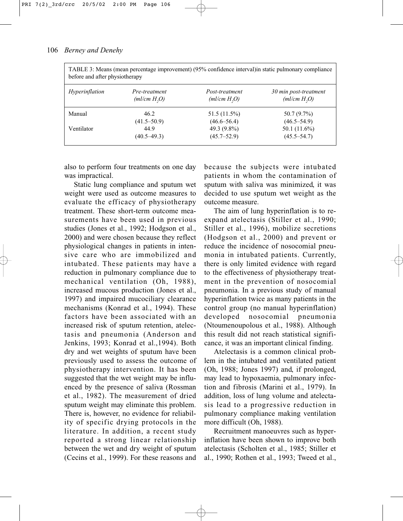| TABLE 3: Means (mean percentage improvement) (95% confidence interval) in static pulmonary compliance<br>before and after physiotherapy |                 |                 |                       |  |  |  |  |
|-----------------------------------------------------------------------------------------------------------------------------------------|-----------------|-----------------|-----------------------|--|--|--|--|
| Hyperinflation                                                                                                                          | Pre-treatment   | Post-treatment  | 30 min post-treatment |  |  |  |  |
|                                                                                                                                         | (ml/cm H, O)    | (ml/cm H, O)    | (ml/cm H, O)          |  |  |  |  |
| Manual                                                                                                                                  | 46.2            | 51.5 (11.5%)    | 50.7 (9.7%)           |  |  |  |  |
|                                                                                                                                         | $(41.5 - 50.9)$ | $(46.6 - 56.4)$ | $(46.5 - 54.9)$       |  |  |  |  |
| Ventilator                                                                                                                              | 44.9            | 49.3 (9.8%)     | 50.1 $(11.6\%)$       |  |  |  |  |
|                                                                                                                                         | $(40.5 - 49.3)$ | $(45.7 - 52.9)$ | $(45.5 - 54.7)$       |  |  |  |  |

also to perform four treatments on one day was impractical.

Static lung compliance and sputum wet weight were used as outcome measures to evaluate the efficacy of physiotherapy treatment. These short-term outcome measurements have been used in previous studies (Jones et al., 1992; Hodgson et al., 2000) and were chosen because they reflect physiological changes in patients in intensive care who are immobilized and intubated. These patients may have a reduction in pulmonary compliance due to mechanical ventilation (Oh, 1988), increased mucous production (Jones et al., 1997) and impaired mucociliary clearance mechanisms (Konrad et al., 1994). These factors have been associated with an increased risk of sputum retention, atelectasis and pneumonia (Anderson and Jenkins, 1993; Konrad et al.,1994). Both dry and wet weights of sputum have been previously used to assess the outcome of physiotherapy intervention. It has been suggested that the wet weight may be influenced by the presence of saliva (Rossman et al., 1982). The measurement of dried sputum weight may eliminate this problem. There is, however, no evidence for reliability of specific drying protocols in the literature. In addition, a recent study reported a strong linear relationship between the wet and dry weight of sputum (Cecins et al., 1999). For these reasons and

because the subjects were intubated patients in whom the contamination of sputum with saliva was minimized, it was decided to use sputum wet weight as the outcome measure.

The aim of lung hyperinflation is to reexpand atelectasis (Stiller et al., 1990; Stiller et al., 1996), mobilize secretions (Hodgson et al., 2000) and prevent or reduce the incidence of nosocomial pneumonia in intubated patients. Currently, there is only limited evidence with regard to the effectiveness of physiotherapy treatment in the prevention of nosocomial pneumonia. In a previous study of manual hyperinflation twice as many patients in the control group (no manual hyperinflation) developed nosocomial pneumonia (Ntoumenoupolous et al., 1988). Although this result did not reach statistical significance, it was an important clinical finding.

Atelectasis is a common clinical problem in the intubated and ventilated patient (Oh, 1988; Jones 1997) and, if prolonged, may lead to hypoxaemia, pulmonary infection and fibrosis (Marini et al., 1979). In addition, loss of lung volume and atelectasis lead to a progressive reduction in pulmonary compliance making ventilation more difficult (Oh, 1988).

Recruitment manoeuvres such as hyperinflation have been shown to improve both atelectasis (Scholten et al., 1985; Stiller et al., 1990; Rothen et al., 1993; Tweed et al.,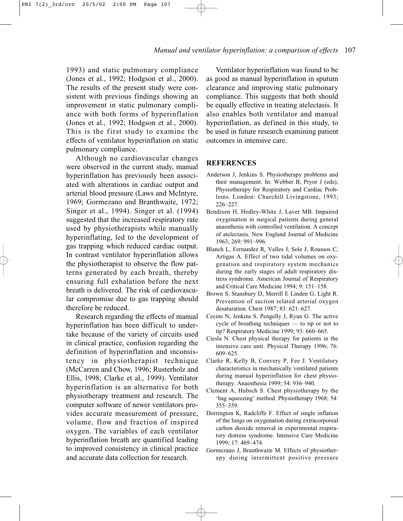1993) and static pulmonary compliance (Jones et al., 1992; Hodgson et al., 2000). The results of the present study were consistent with previous findings showing an improvement in static pulmonary compliance with both forms of hyperinflation (Jones et al., 1992; Hodgson et al., 2000). This is the first study to examine the effects of ventilator hyperinflation on static pulmonary compliance.

Although no cardiovascular changes were observed in the current study, manual hyperinflation has previously been associated with alterations in cardiac output and arterial blood pressure (Laws and McIntyre, 1969; Gormezano and Branthwaite, 1972; Singer et al., 1994). Singer et al. (1994) suggested that the increased respiratory rate used by physiotherapists while manually hyperinflating, led to the development of gas trapping which reduced cardiac output. In contrast ventilator hyperinflation allows the physiotherapist to observe the flow patterns generated by each breath, thereby ensuring full exhalation before the next breath is delivered. The risk of cardiovascular compromise due to gas trapping should therefore be reduced.

Research regarding the effects of manual hyperinflation has been difficult to undertake because of the variety of circuits used in clinical practice, confusion regarding the definition of hyperinflation and inconsistency in physiotherapist technique (McCarren and Chow, 1996; Rusterholz and Ellis, 1998; Clarke et al., 1999). Ventilator hyperinflation is an alternative for both physiotherapy treatment and research. The computer software of newer ventilators provides accurate measurement of pressure, volume, flow and fraction of inspired oxygen. The variables of each ventilator hyperinflation breath are quantified leading to improved consistency in clinical practice and accurate data collection for research.

Ventilator hyperinflation was found to be as good as manual hyperinflation in sputum clearance and improving static pulmonary compliance. This suggests that both should be equally effective in treating atelectasis. It also enables both ventilator and manual hyperinflation, as defined in this study, to be used in future research examining patient outcomes in intensive care.

## **REFERENCES**

- Anderson J, Jenkins S. Physiotherapy problems and their management. In: Webber B, Pryor J (eds), Physiotherapy for Respiratory and Cardiac Problems. London: Churchill Livingstone, 1993; 226–227.
- Bendixen H, Hedley-White J, Laver MB. Impaired oxygenation in surgical patients during general anaesthesia with controlled ventilation. A concept of atelectasis. New England Journal of Medicine 1963; 269: 991–996.
- Blanch L, Fernandez R, Valles J, Sole J, Roussos C, Artigas A. Effect of two tidal volumes on oxygenation and respiratory system mechanics during the early stages of adult respiratory distress syndrome. American Journal of Respiratory and Critical Care Medicine 1994; 9: 151–158.
- Brown S, Stansbury D, Merrill E Linden G, Light R. Prevention of suction related arterial oxygen desaturation. Chest 1987; 83: 621–627.
- Cecins N, Jenkins S, Pengelly J, Ryan G. The active cycle of breathing techniques — to tip or not to tip? Respiratory Medicine 1999; 93: 660–665.
- Ciesla N. Chest physical therapy for patients in the intensive care unit. Physical Therapy 1996; 76: 609–625.
- Clarke R, Kelly B, Convery P, Fee J. Ventilatory characteristics in mechanically ventilated patients during manual hyperinflation for chest physiotherapy. Anaesthesia 1999; 54: 936–940.
- Clement A, Hubsch S. Chest physiotherapy by the 'bag squeezing' method. Physiotherapy 1968; 54: 355–359.
- Dorrington K, Radcliffe F. Effect of single inflation of the lungs on oxygenation during extracorporeal carbon dioxide removal in experimental respiratory distress syndrome. Intensive Care Medicine 1999; 17: 469–474.
- Gormezano J, Branthwaite M. Effects of physiotherapy during intermittent positive pressure